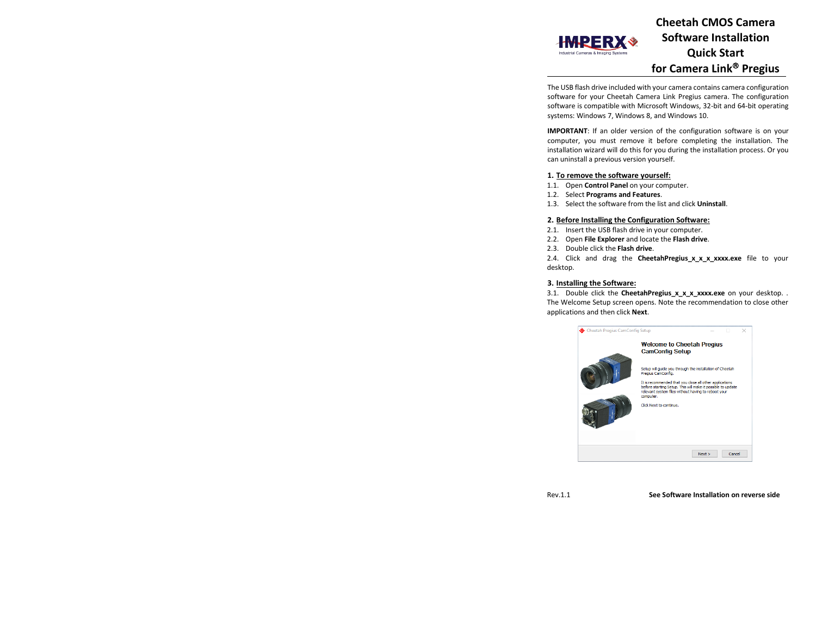

**Cheetah CMOS Camera Software Installation Quick Start for Camera Link Pregius**

The USB flash drive included with your camera contains camera configuration software for your Cheetah Camera Link Pregius camera. The configuration software is compatible with Microsoft Windows, 32-bit and 64-bit operating systems: Windows 7, Windows 8, and Windows 10.

**IMPORTANT**: If an older version of the configuration software is on your computer, you must remove it before completing the installation. The installation wizard will do this for you during the installation process. Or you can uninstall a previous version yourself.

# **1. To remove the software yourself:**

- 1.1. Open **Control Panel** on your computer.
- 1.2. Select **Programs and Features**.
- 1.3. Select the software from the list and click **Uninstall**.

## **2. Before Installing the Configuration Software:**

- 2.1. Insert the USB flash drive in your computer.
- 2.2. Open **File Explorer** and locate the **Flash drive**.
- 2.3. Double click the **Flash drive**.

2.4. Click and drag the **CheetahPregius x x x xxxx.exe** file to your desktop.

## **3. Installing the Software:**

3.1. Double click the **CheetahPregius\_x\_x\_x\_xxxx.exe** on your desktop. . The Welcome Setup screen opens. Note the recommendation to close other applications and then click **Next**.



Rev.1.1 **See Software Installation on reverse side**